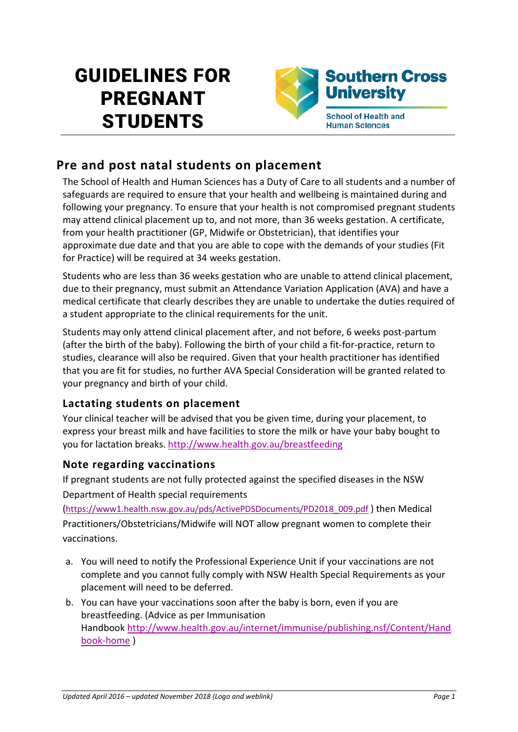# GUIDELINES FOR PREGNANT **STUDENTS**



# **Pre and post natal students on placement**

The School of Health and Human Sciences has a Duty of Care to all students and a number of safeguards are required to ensure that your health and wellbeing is maintained during and following your pregnancy. To ensure that your health is not compromised pregnant students may attend clinical placement up to, and not more, than 36 weeks gestation. A certificate, from your health practitioner (GP, Midwife or Obstetrician), that identifies your approximate due date and that you are able to cope with the demands of your studies (Fit for Practice) will be required at 34 weeks gestation.

Students who are less than 36 weeks gestation who are unable to attend clinical placement, due to their pregnancy, must submit an Attendance Variation Application (AVA) and have a medical certificate that clearly describes they are unable to undertake the duties required of a student appropriate to the clinical requirements for the unit.

Students may only attend clinical placement after, and not before, 6 weeks post-partum (after the birth of the baby). Following the birth of your child a fit-for-practice, return to studies, clearance will also be required. Given that your health practitioner has identified that you are fit for studies, no further AVA Special Consideration will be granted related to your pregnancy and birth of your child.

### **Lactating students on placement**

Your clinical teacher will be advised that you be given time, during your placement, to express your breast milk and have facilities to store the milk or have your baby bought to you for lactation breaks. <http://www.health.gov.au/breastfeeding>

#### **Note regarding vaccinations**

If pregnant students are not fully protected against the specified diseases in the NSW Department of Health special requirements

[\(https://www1.health.nsw.gov.au/pds/ActivePDSDocuments/PD2018\\_009.pdf](https://www1.health.nsw.gov.au/pds/ActivePDSDocuments/PD2018_009.pdf) ) then Medical Practitioners/Obstetricians/Midwife will NOT allow pregnant women to complete their vaccinations.

- a. You will need to notify the Professional Experience Unit if your vaccinations are not complete and you cannot fully comply with NSW Health Special Requirements as your placement will need to be deferred.
- b. You can have your vaccinations soon after the baby is born, even if you are breastfeeding. (Advice as per Immunisation Handbook [http://www.health.gov.au/internet/immunise/publishing.nsf/Content/Hand](http://www.health.gov.au/internet/immunise/publishing.nsf/Content/Handbook-home) [book-home](http://www.health.gov.au/internet/immunise/publishing.nsf/Content/Handbook-home) )